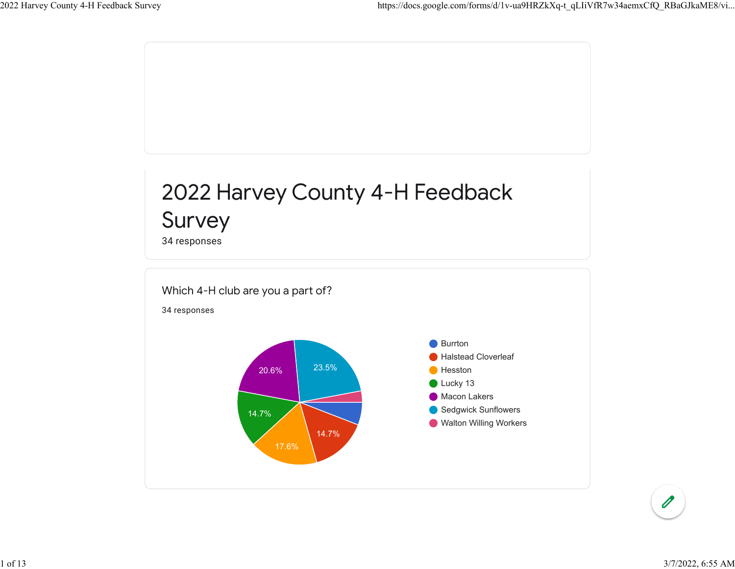

1 of 13 3/7/2022, 6:55 AM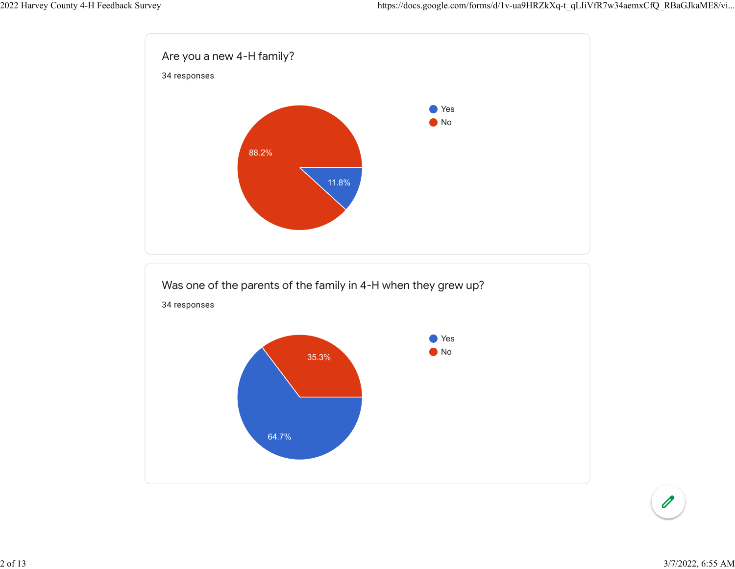

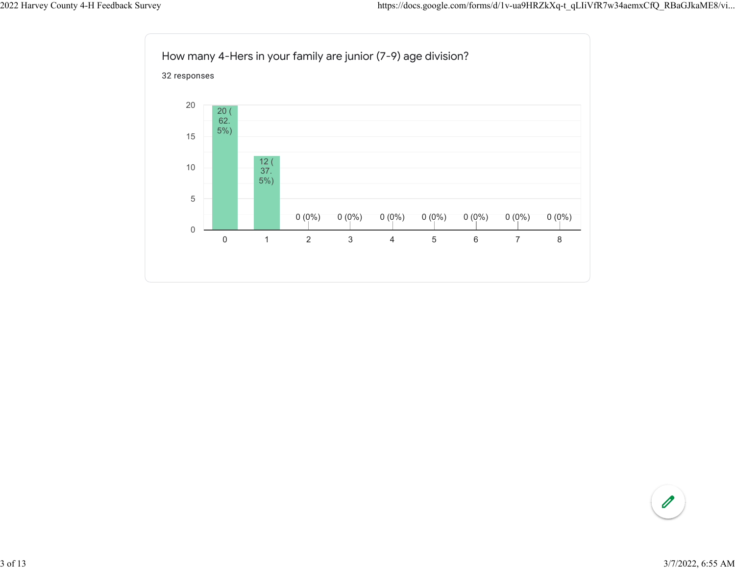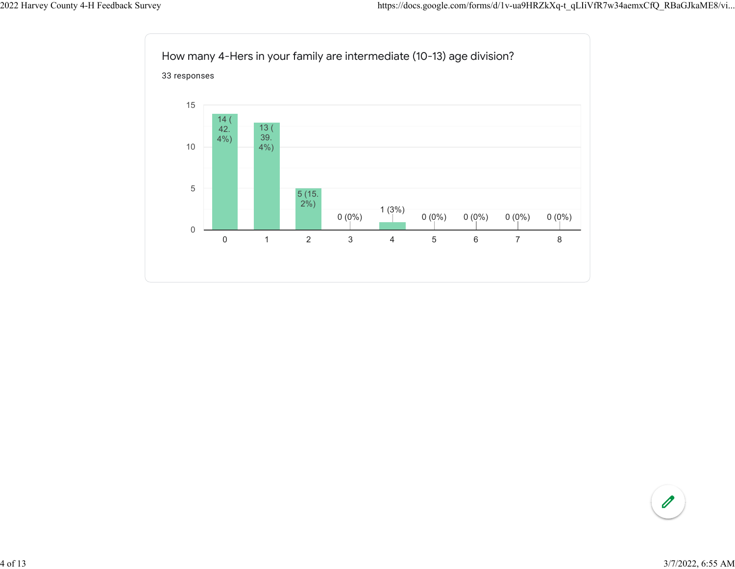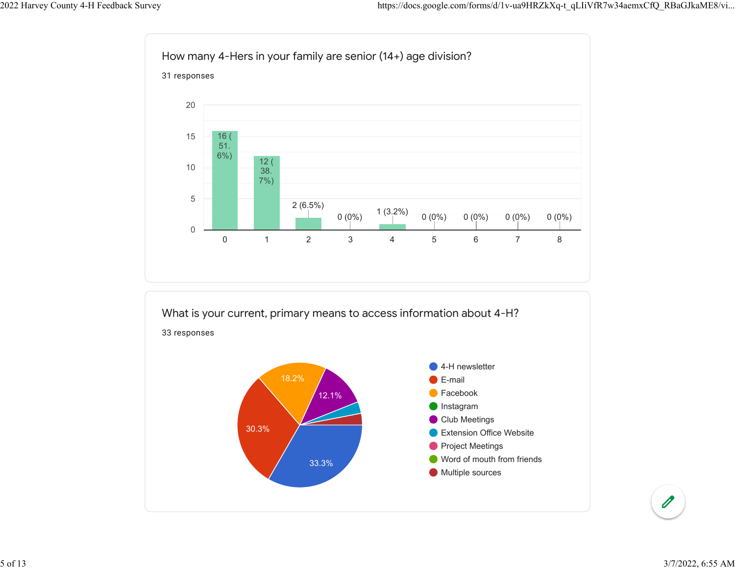

Facebook Instagram **Club Meetings** Extension Office Website **Project Meetings** Word of mouth from friends **Multiple sources** 12.1% 30.3% 33.3%

5 of 13 3/7/2022, 6:55 AM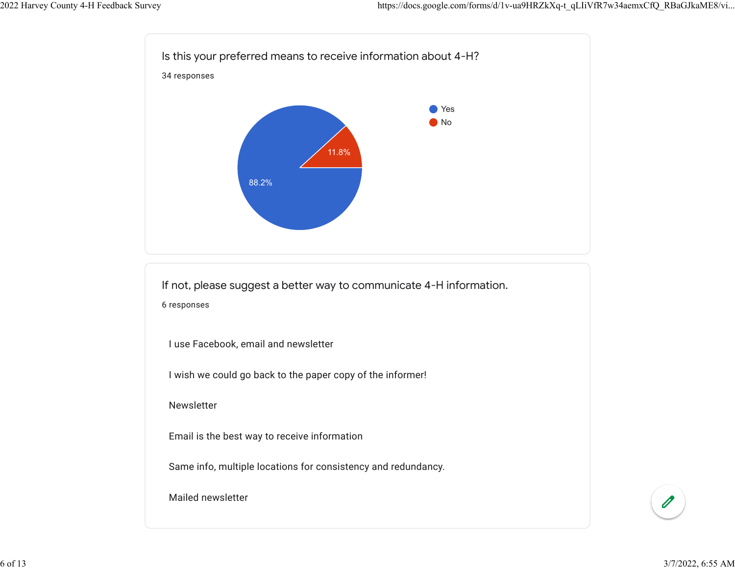

If not, please suggest a better way to communicate 4-H information. 6 responses

I use Facebook, email and newsletter

I wish we could go back to the paper copy of the informer!

Newsletter

Email is the best way to receive information

Same info, multiple locations for consistency and redundancy.

Mailed newsletter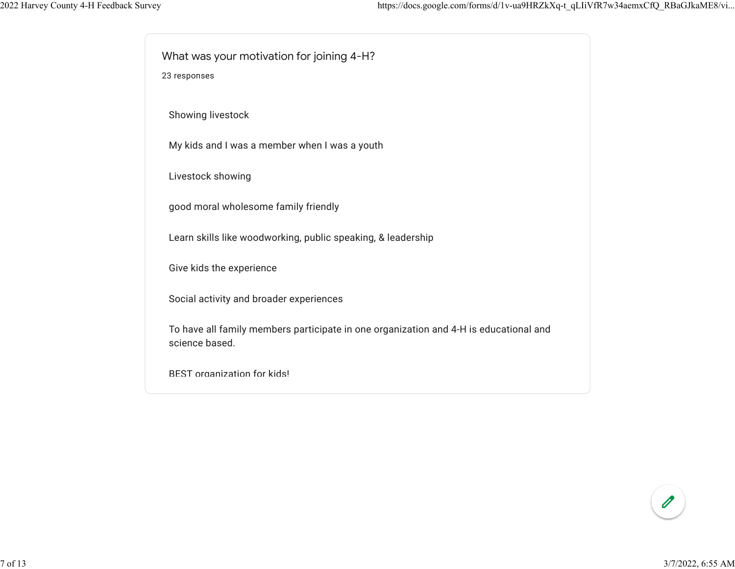What was your motivation for joining 4-H?

23 responses

Showing livestock

My kids and I was a member when I was a youth

Livestock showing

good moral wholesome family friendly

Learn skills like woodworking, public speaking, & leadership

Give kids the experience

Social activity and broader experiences

To have all family members participate in one organization and 4-H is educational and science based.

BEST organization for kids!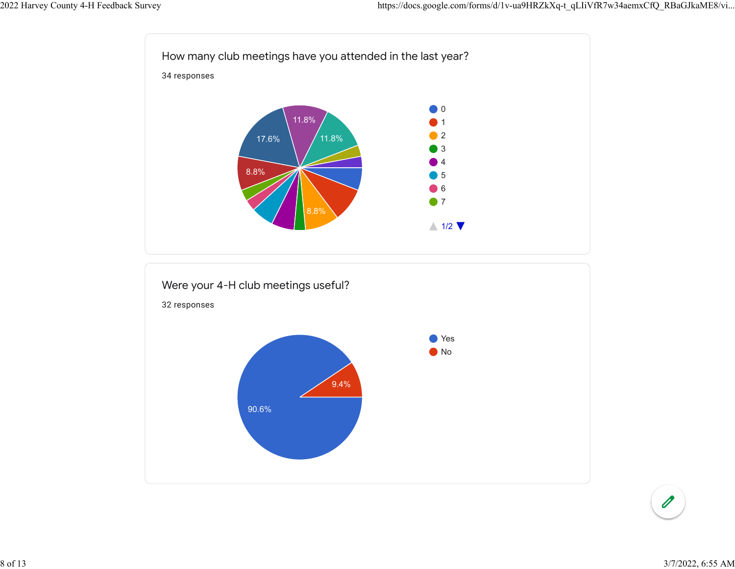

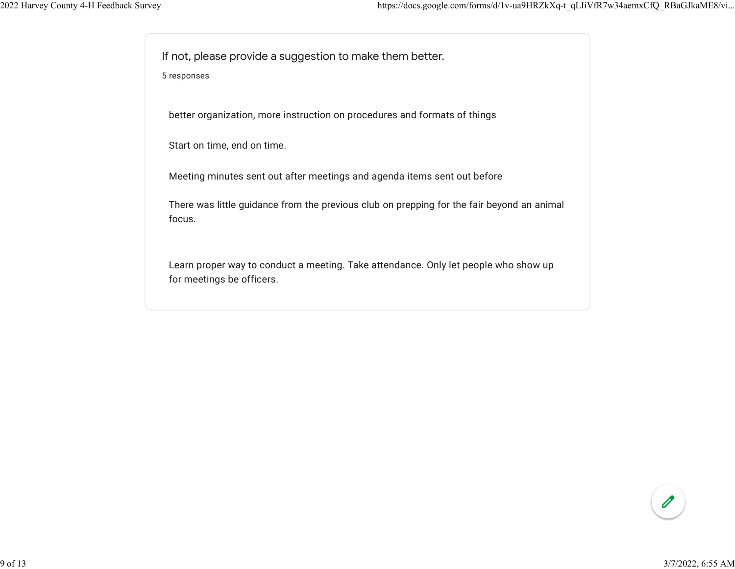If not, please provide a suggestion to make them better.

5 responses

better organization, more instruction on procedures and formats of things

Start on time, end on time.

Meeting minutes sent out after meetings and agenda items sent out before

There was little guidance from the previous club on prepping for the fair beyond an animal focus.

Learn proper way to conduct a meeting. Take attendance. Only let people who show up for meetings be officers.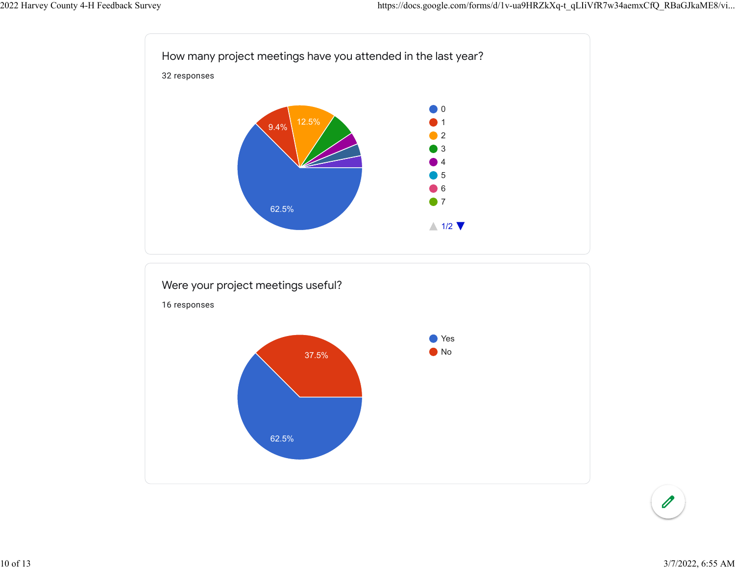

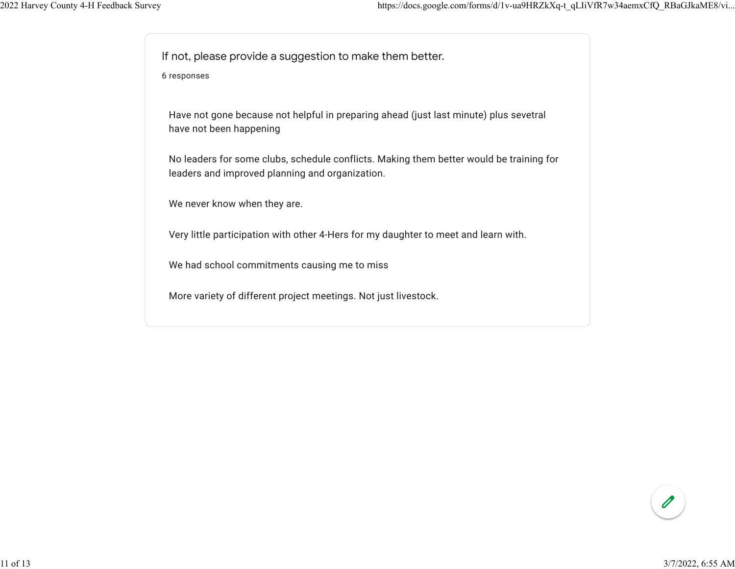If not, please provide a suggestion to make them better.

6 responses

Have not gone because not helpful in preparing ahead (just last minute) plus sevetral have not been happening

No leaders for some clubs, schedule conflicts. Making them better would be training for leaders and improved planning and organization.

We never know when they are.

Very little participation with other 4-Hers for my daughter to meet and learn with.

We had school commitments causing me to miss

More variety of different project meetings. Not just livestock.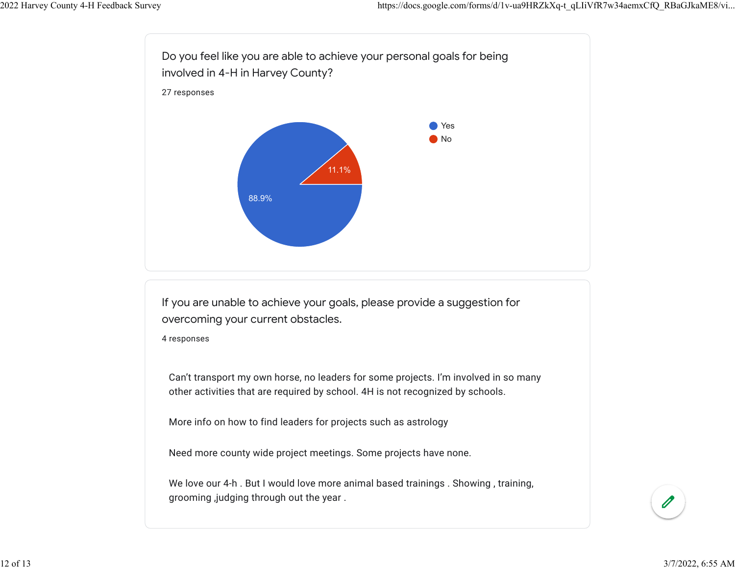

More info on how to find leaders for projects such as astrology

Need more county wide project meetings. Some projects have none.

We love our 4-h. But I would love more animal based trainings . Showing, training, grooming ,judging through out the year .